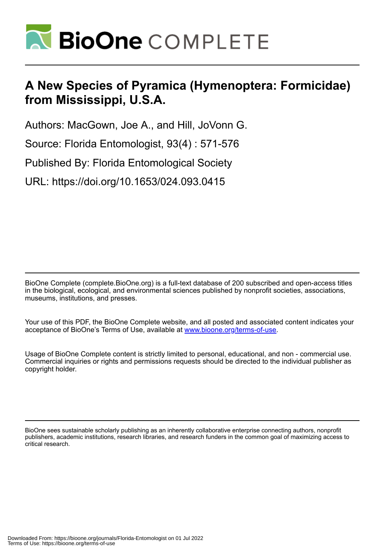

# **A New Species of Pyramica (Hymenoptera: Formicidae) from Mississippi, U.S.A.**

Authors: MacGown, Joe A., and Hill, JoVonn G.

Source: Florida Entomologist, 93(4) : 571-576

Published By: Florida Entomological Society

URL: https://doi.org/10.1653/024.093.0415

BioOne Complete (complete.BioOne.org) is a full-text database of 200 subscribed and open-access titles in the biological, ecological, and environmental sciences published by nonprofit societies, associations, museums, institutions, and presses.

Your use of this PDF, the BioOne Complete website, and all posted and associated content indicates your acceptance of BioOne's Terms of Use, available at www.bioone.org/terms-of-use.

Usage of BioOne Complete content is strictly limited to personal, educational, and non - commercial use. Commercial inquiries or rights and permissions requests should be directed to the individual publisher as copyright holder.

BioOne sees sustainable scholarly publishing as an inherently collaborative enterprise connecting authors, nonprofit publishers, academic institutions, research libraries, and research funders in the common goal of maximizing access to critical research.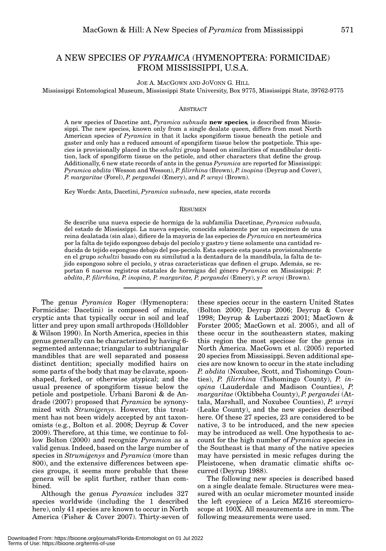# A NEW SPECIES OF *PYRAMICA* (HYMENOPTERA: FORMICIDAE) FROM MISSISSIPPI, U.S.A.

JOE A. MACGOWN AND JOVONN G. HILL

Mississippi Entomological Museum, Mississippi State University, Box 9775, Mississippi State, 39762-9775

#### **ABSTRACT**

A new species of Dacetine ant, *Pyramica subnuda* **new species***,* is described from Mississippi. The new species, known only from a single dealate queen, differs from most North American species of *Pyramica* in that it lacks spongiform tissue beneath the petiole and gaster and only has a reduced amount of spongiform tissue below the postpetiole. This species is provisionally placed in the *schultzi* group based on similarities of mandibular dentition, lack of spongiform tissue on the petiole, and other characters that define the group*.* Additionally, 6 new state records of ants in the genus *Pyramica* are reported for Mississippi: *Pyramica abdita* (Wesson and Wesson), *P. filirrhina* (Brown), *P. inopina* (Deyrup and Cover), *P. margaritae* (Forel), *P. pergandei* (Emery), and *P. wrayi* (Brown).

Key Words: Ants, Dacetini, *Pyramica subnuda*, new species, state records

#### **RESUMEN**

Se describe una nueva especie de hormiga de la subfamilia Dacetinae, *Pyramica subnuda,* del estado de Mississippi. La nueva especie, conocida solamente por un especimen de una reina dealatada (sin alas), difiere de la mayoria de las especies de *Pyramica* en norteamérica por la falta de tejido espongoso debajo del pecíolo y gastro y tiene solamente una cantidad reducida de tejido espongoso debajo del pos-pecíolo. Esta especie esta puesta provisionalmente en el grupo *schultzi* basado con su similutud a la dentadura de la mandíbula, la falta de tejido espongoso sobre el pecíolo, y otras caracteristicas que definen el grupo. Además, se reportan 6 nuevos registros estatales de hormigas del género *Pyramica* en Mississippi: *P. abdita*, *P. filirrhina, P. inopina, P. margaritae, P. pergandei* (Emery), y *P. wrayi* (Brown).

The genus *Pyramica* Roger (Hymenoptera: Formicidae: Dacetini) is composed of minute, cryptic ants that typically occur in soil and leaf litter and prey upon small arthropods (Hölldobler & Wilson 1990). In North America, species in this genus generally can be characterized by having 6 segmented antennae; triangular to subtriangular mandibles that are well separated and possess distinct dentition; specially modified hairs on some parts of the body that may be clavate, spoonshaped, forked, or otherwise atypical; and the usual presence of spongiform tissue below the petiole and postpetiole. Urbani Baroni & de Andrade (2007) proposed that *Pyramica* be synonymized with *Strumigenys*. However, this treatment has not been widely accepted by ant taxonomists (e.g., Bolton et al. 2008; Deyrup & Cover 2009). Therefore, at this time, we continue to follow Bolton (2000) and recognize *Pyramica* as a valid genus. Indeed, based on the large number of species in *Strumigenys* and *Pyramica* (more than 800), and the extensive differences between species groups, it seems more probable that these genera will be split further, rather than combined.

Although the genus *Pyramica* includes 327 species worldwide (including the 1 described here), only 41 species are known to occur in North America (Fisher & Cover 2007). Thirty-seven of

these species occur in the eastern United States (Bolton 2000; Deyrup 2006; Deyrup & Cover 1998; Deyrup & Lubertazzi 2001; MacGown & Forster 2005; MacGown et al. 2005), and all of these occur in the southeastern states, making this region the most speciose for the genus in North America. MacGown et al. (2005) reported 20 species from Mississippi. Seven additional species are now known to occur in the state including *P. abdita* (Noxubee, Scott, and Tishomingo Counties), *P. filirrhina* (Tishomingo County), *P. inopina* (Lauderdale and Madison Counties), *P. margaritae* (Oktibbeha County), *P. pergandei* (Attala, Marshall, and Noxubee Counties), *P. wrayi* (Leake County), and the new species described here. Of these 27 species, 23 are considered to be native, 3 to be introduced, and the new species may be introduced as well. One hypothesis to account for the high number of *Pyramica* species in the Southeast is that many of the native species may have persisted in mesic refuges during the Pleistocene, when dramatic climatic shifts occurred (Deyrup 1988).

The following new species is described based on a single dealate female. Structures were measured with an ocular micrometer mounted inside the left eyepiece of a Leica MZ16 stereomicroscope at 100X. All measurements are in mm. The following measurements were used.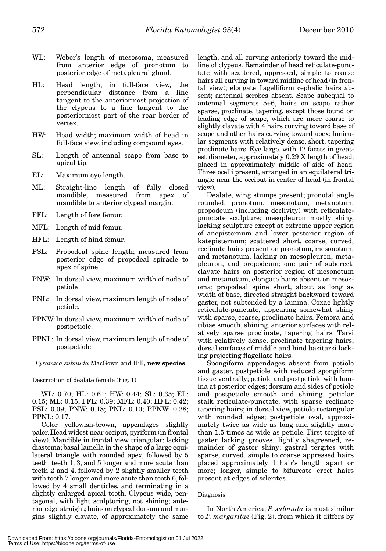- WL: Weber's length of mesosoma, measured from anterior edge of pronotum to posterior edge of metapleural gland.
- HL: Head length; in full-face view, the perpendicular distance from a line tangent to the anteriormost projection of the clypeus to a line tangent to the posteriormost part of the rear border of vertex.
- HW: Head width; maximum width of head in full-face view, including compound eyes.
- SL: Length of antennal scape from base to apical tip.
- EL: Maximum eye length.
- ML: Straight-line length of fully closed mandible, measured from apex of mandible to anterior clypeal margin.
- FFL: Length of fore femur.
- MFL: Length of mid femur.
- HFL: Length of hind femur.
- PSL: Propodeal spine length; measured from posterior edge of propodeal spiracle to apex of spine.
- PNW: In dorsal view, maximum width of node of petiole
- PNL: In dorsal view, maximum length of node of petiole.
- PPNW:In dorsal view, maximum width of node of postpetiole.
- PPNL: In dorsal view, maximum length of node of postpetiole.

*Pyramica subnuda* MacGown and Hill, **new species**

Description of dealate female (Fig. 1)

WL: 0.70; HL: 0.61; HW: 0.44; SL: 0.35; EL: 0.15; ML: 0.15; FFL: 0.39; MFL: 0.40; HFL: 0.42; PSL: 0.09; PNW: 0.18; PNL: 0.10; PPNW: 0.28; PPNL: 0.17.

Color yellowish-brown, appendages slightly paler. Head widest near occiput, pyriform (in frontal view). Mandible in frontal view triangular; lacking diastema; basal lamella in the shape of a large equilateral triangle with rounded apex, followed by 5 teeth: teeth 1, 3, and 5 longer and more acute than teeth 2 and 4, followed by 2 slightly smaller teeth with tooth 7 longer and more acute than tooth 6, followed by 4 small denticles, and terminating in a slightly enlarged apical tooth. Clypeus wide, pentagonal, with light sculpturing, not shining; anterior edge straight; hairs on clypeal dorsum and margins slightly clavate, of approximately the same

length, and all curving anteriorly toward the midline of clypeus. Remainder of head reticulate-punctate with scattered, appressed, simple to coarse hairs all curving in toward midline of head (in frontal view); elongate flagelliform cephalic hairs absent; antennal scrobes absent. Scape subequal to antennal segments 5+6, hairs on scape rather sparse, proclinate, tapering, except those found on leading edge of scape, which are more coarse to slightly clavate with 4 hairs curving toward base of scape and other hairs curving toward apex; funicular segments with relatively dense, short, tapering proclinate hairs. Eye large, with 12 facets in greatest diameter, approximately 0.29 X length of head, placed in approximately middle of side of head. Three ocelli present, arranged in an equilateral triangle near the occiput in center of head (in frontal view).

Dealate, wing stumps present; pronotal angle rounded; pronotum, mesonotum, metanotum, propodeum (including declivity) with reticulatepunctate sculpture; mesopleuron mostly shiny, lacking sculpture except at extreme upper region of anepisternum and lower posterior region of katepisternum; scattered short, coarse, curved, reclinate hairs present on pronotum, mesonotum, and metanotum, lacking on mesopleuron, metapleuron, and propodeum; one pair of suberect, clavate hairs on posterior region of mesonotum and metanotum, elongate hairs absent on mesosoma; propodeal spine short, about as long as width of base, directed straight backward toward gaster, not subtended by a lamina. Coxae lightly reticulate-punctate, appearing somewhat shiny with sparse, coarse, proclinate hairs. Femora and tibiae smooth, shining, anterior surfaces with relatively sparse proclinate, tapering hairs. Tarsi with relatively dense, proclinate tapering hairs; dorsal surfaces of middle and hind basitarsi lacking projecting flagellate hairs.

Spongiform appendages absent from petiole and gaster, postpetiole with reduced spongiform tissue ventrally; petiole and postpetiole with lamina at posterior edges; dorsum and sides of petiole and postpetiole smooth and shining, petiolar stalk reticulate-punctate, with sparse reclinate tapering hairs; in dorsal view, petiole rectangular with rounded edges; postpetiole oval, approximately twice as wide as long and slightly more than 1.5 times as wide as petiole. First tergite of gaster lacking grooves, lightly shagreened, remainder of gaster shiny; gastral tergites with sparse, curved, simple to coarse appressed hairs placed approximately 1 hair's length apart or more; longer, simple to bifurcate erect hairs present at edges of sclerites.

# Diagnosis

In North America, *P. subnuda* is most similar to *P. margaritae* (Fig. 2), from which it differs by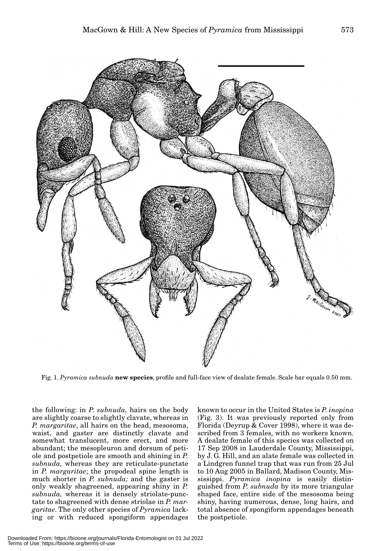

Fig. 1. *Pyramica subnuda* **new species**, profile and full-face view of dealate female. Scale bar equals 0.50 mm.

the following: in *P. subnuda,* hairs on the body are slightly coarse to slightly clavate, whereas in *P. margaritae*, all hairs on the head, mesosoma, waist, and gaster are distinctly clavate and somewhat translucent, more erect, and more abundant; the mesopleuron and dorsum of petiole and postpetiole are smooth and shining in *P. subnuda,* whereas they are reticulate-punctate in *P. margaritae*; the propodeal spine length is much shorter in *P. subnuda;* and the gaster is only weakly shagreened, appearing shiny in *P. subnuda,* whereas it is densely striolate-punctate to shagreened with dense striolae in *P. margaritae*. The only other species of *Pyramica* lacking or with reduced spongiform appendages

known to occur in the United States is *P. inopina* (Fig. 3). It was previously reported only from Florida (Deyrup & Cover 1998), where it was described from 3 females, with no workers known. A dealate female of this species was collected on 17 Sep 2008 in Lauderdale County, Mississippi, by J. G. Hill, and an alate female was collected in a Lindgren funnel trap that was run from 25 Jul to 10 Aug 2005 in Ballard, Madison County, Mississippi. *Pyramica inopina* is easily distinguished from *P. subnuda* by its more triangular shaped face, entire side of the mesosoma being shiny, having numerous, dense, long hairs, and total absence of spongiform appendages beneath the postpetiole.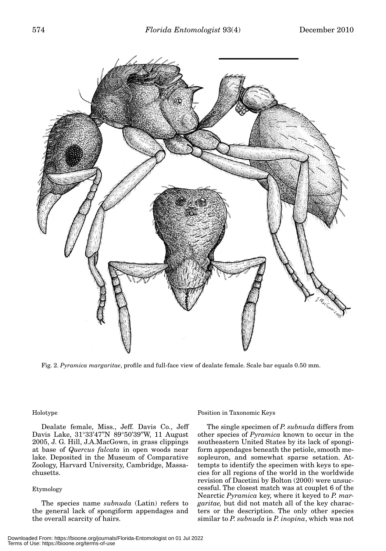

Fig. 2. *Pyramica margaritae*, profile and full-face view of dealate female. Scale bar equals 0.50 mm.

# Holotype

Dealate female, Miss., Jeff. Davis Co., Jeff Davis Lake, 31°33'47"N 89°50'39"W, 11 August 2005, J. G. Hill, J.A.MacGown, in grass clippings at base of *Quercus falcata* in open woods near lake. Deposited in the Museum of Comparative Zoology, Harvard University, Cambridge, Massachusetts.

# Etymology

The species name *subnuda* (Latin) refers to the general lack of spongiform appendages and the overall scarcity of hairs.

## Position in Taxonomic Keys

The single specimen of *P. subnuda* differs from other species of *Pyramica* known to occur in the southeastern United States by its lack of spongiform appendages beneath the petiole, smooth mesopleuron, and somewhat sparse setation. Attempts to identify the specimen with keys to species for all regions of the world in the worldwide revision of Dacetini by Bolton (2000) were unsuccessful. The closest match was at couplet 6 of the Nearctic *Pyramica* key, where it keyed to *P. margaritae,* but did not match all of the key characters or the description. The only other species similar to *P. subnuda* is *P. inopina*, which was not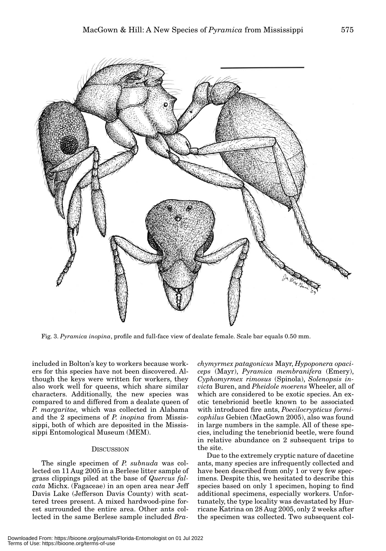

Fig. 3. *Pyramica inopina*, profile and full-face view of dealate female. Scale bar equals 0.50 mm.

included in Bolton's key to workers because workers for this species have not been discovered. Although the keys were written for workers, they also work well for queens, which share similar characters. Additionally, the new species was compared to and differed from a dealate queen of *P. margaritae,* which was collected in Alabama and the 2 specimens of *P. inopina* from Mississippi, both of which are deposited in the Mississippi Entomological Museum (MEM).

# **DISCUSSION**

The single specimen of *P. subnuda* was collected on 11 Aug 2005 in a Berlese litter sample of grass clippings piled at the base of *Quercus falcata* Michx. (Fagaceae) in an open area near Jeff Davis Lake (Jefferson Davis County) with scattered trees present. A mixed hardwood-pine forest surrounded the entire area. Other ants collected in the same Berlese sample included *Bra-*

*chymyrmex patagonicus* Mayr, *Hypoponera opaciceps* (Mayr), *Pyramica membranifera* (Emery), *Cyphomyrmex rimosus* (Spinola), *Solenopsis invicta* Buren, and *Pheidole moerens* Wheeler, all of which are considered to be exotic species. An exotic tenebrionid beetle known to be associated with introduced fire ants, *Poecilocrypticus formicophilus* Gebien (MacGown 2005), also was found in large numbers in the sample. All of these species, including the tenebrionid beetle, were found in relative abundance on 2 subsequent trips to the site.

Due to the extremely cryptic nature of dacetine ants, many species are infrequently collected and have been described from only 1 or very few specimens. Despite this, we hesitated to describe this species based on only 1 specimen, hoping to find additional specimens, especially workers. Unfortunately, the type locality was devastated by Hurricane Katrina on 28 Aug 2005, only 2 weeks after the specimen was collected. Two subsequent col